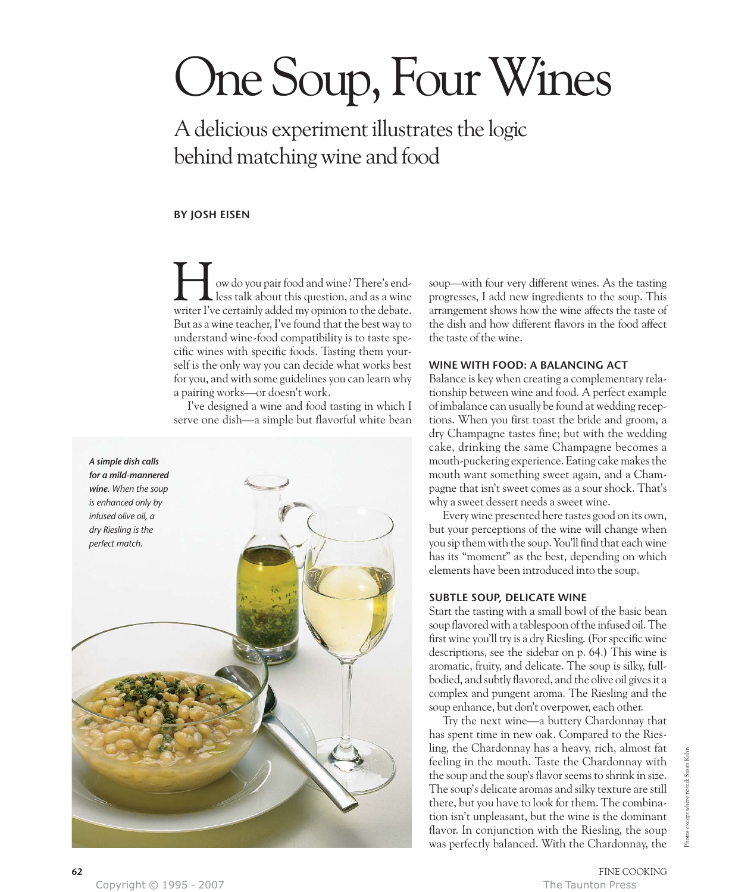# One Soup, Four Wines

A delicious experiment illustrates the logic behind matching wine and food

## **BY JOSH EISEN**

ow do you pair food and wine? There's endless talk about this question, and as a wine I ow do you pair food and wine? There's end-<br>less talk about this question, and as a wine<br>writer I've certainly added my opinion to the debate. But as a wine teacher, I've found that the best way to understand wine-food compatibility is to taste specific wines with specific foods. Tasting them yourself is the only way you can decide what works best for you, and with some guidelines you can learn why a pairing works—or doesn't work.

I've designed a wine and food tasting in which I serve one dish—a simple but flavorful white bean



soup—with four very different wines. As the tasting progresses, I add new ingredients to the soup. This arrangement shows how the wine affects the taste of the dish and how different flavors in the food affect the taste of the wine.

## **WINE WITH FOOD: A BALANCING ACT**

Balance is key when creating a complementary relationship between wine and food. A perfect example of imbalance can usually be found at wedding receptions. When you first toast the bride and groom, a dry Champagne tastes fine; but with the wedding cake, drinking the same Champagne becomes a mouth-puckering experience. Eating cake makes the mouth want something sweet again, and a Champagne that isn't sweet comes as a sour shock. That's why a sweet dessert needs a sweet wine.

Every wine presented here tastes good on its own, but your perceptions of the wine will change when you sip them with the soup. You'll find that each wine has its "moment" as the best, depending on which elements have been introduced into the soup.

# **SUBTLE SOUP, DELICATE WINE**

Start the tasting with a small bowl of the basic bean soup flavored with a tablespoon of the infused oil. The first wine you'll try is a dry Riesling. (For specific wine descriptions, see the sidebar on p. 64.) This wine is aromatic, fruity, and delicate. The soup is silky, fullbodied, and subtly flavored, and the olive oil gives it a complex and pungent aroma. The Riesling and the soup enhance, but don't overpower, each other.

Try the next wine—a buttery Chardonnay that has spent time in new oak. Compared to the Riesling, the Chardonnay has a heavy, rich, almost fat feeling in the mouth. Taste the Chardonnay with the soup and the soup's flavor seems to shrink in size. The soup's delicate aromas and silky texture are still there, but you have to look for them. The combination isn't unpleasant, but the wine is the dominant flavor. In conjunction with the Riesling, the soup was perfectly balanced. With the Chardonnay, the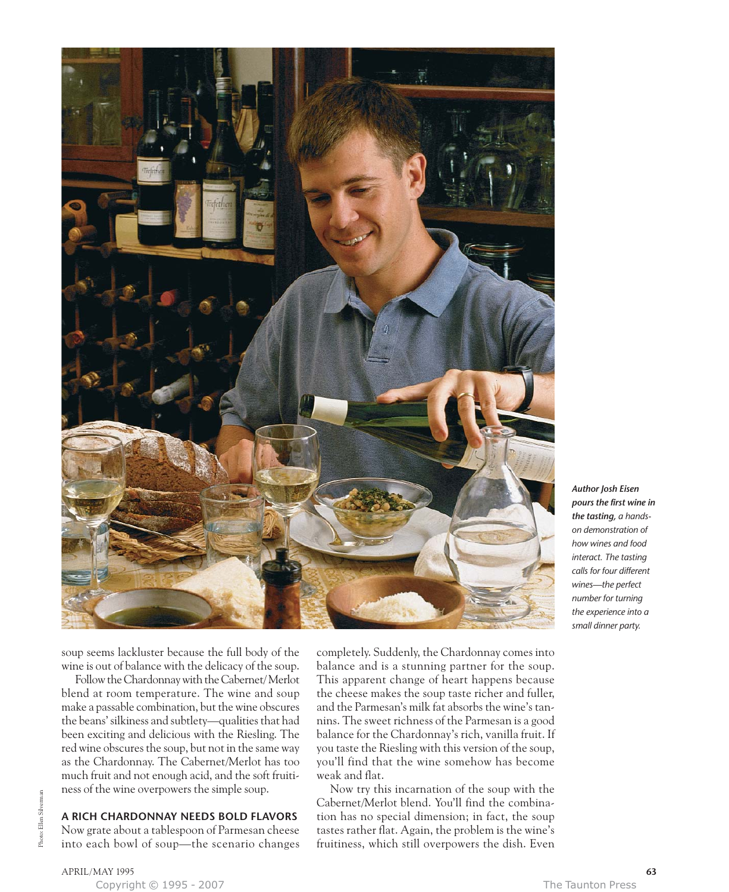

*Author Josh Eisen pours the first wine in the tasting, a handson demonstration of how wines and food interact. The tasting calls for four different wines—the perfect number for turning the experience into a small dinner party.*

soup seems lackluster because the full body of the wine is out of balance with the delicacy of the soup.

Follow the Chardonnay with the Cabernet/ Merlot blend at room temperature. The wine and soup make a passable combination, but the wine obscures the beans' silkiness and subtlety—qualities that had been exciting and delicious with the Riesling. The red wine obscures the soup, but not in the same way as the Chardonnay. The Cabernet/Merlot has too much fruit and not enough acid, and the soft fruitiness of the wine overpowers the simple soup.

## **A RICH CHARDONNAY NEEDS BOLD FLAVORS**

Now grate about a tablespoon of Parmesan cheese into each bowl of soup—the scenario changes completely. Suddenly, the Chardonnay comes into balance and is a stunning partner for the soup. This apparent change of heart happens because the cheese makes the soup taste richer and fuller, and the Parmesan's milk fat absorbs the wine's tannins. The sweet richness of the Parmesan is a good balance for the Chardonnay's rich, vanilla fruit. If you taste the Riesling with this version of the soup, you'll find that the wine somehow has become weak and flat.

Now try this incarnation of the soup with the Cabernet/Merlot blend. You'll find the combination has no special dimension; in fact, the soup tastes rather flat. Again, the problem is the wine's fruitiness, which still overpowers the dish. Even

APRIL/MAY 1995 **63**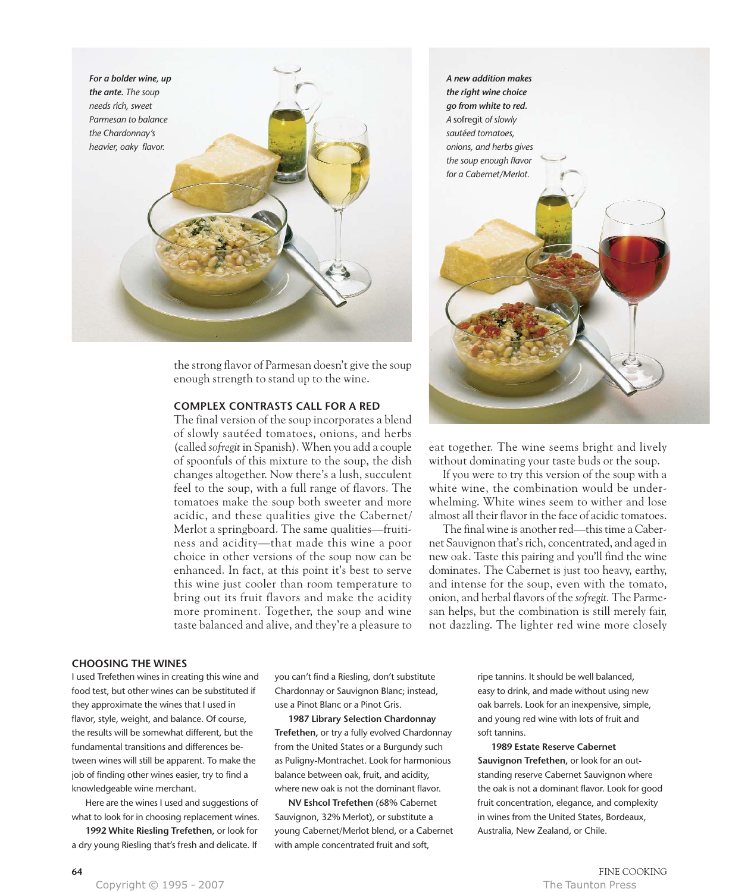

the strong flavor of Parmesan doesn't give the soup enough strength to stand up to the wine.

### **COMPLEX CONTRASTS CALL FOR A RED**

The final version of the soup incorporates a blend of slowly sautéed tomatoes, onions, and herbs (called *sofregit* in Spanish). When you add a couple of spoonfuls of this mixture to the soup, the dish changes altogether. Now there's a lush, succulent feel to the soup, with a full range of flavors. The tomatoes make the soup both sweeter and more acidic, and these qualities give the Cabernet/ Merlot a springboard. The same qualities—fruitiness and acidity—that made this wine a poor choice in other versions of the soup now can be enhanced. In fact, at this point it's best to serve this wine just cooler than room temperature to bring out its fruit flavors and make the acidity more prominent. Together, the soup and wine taste balanced and alive, and they're a pleasure to

*A new addition makes the right wine choice go from white to red. A* sofregit *of slowly sautéed tomatoes, onions, and herbs gives*



eat together. The wine seems bright and lively without dominating your taste buds or the soup.

If you were to try this version of the soup with a white wine, the combination would be underwhelming. White wines seem to wither and lose almost all their flavor in the face of acidic tomatoes.

The final wine is another red—this time a Cabernet Sauvignon that's rich, concentrated, and aged in new oak. Taste this pairing and you'll find the wine dominates. The Cabernet is just too heavy, earthy, and intense for the soup, even with the tomato, onion, and herbal flavors of the *sofregit.* The Parmesan helps, but the combination is still merely fair, not dazzling. The lighter red wine more closely

#### **CHOOSING THE WINES**

I used Trefethen wines in creating this wine and food test, but other wines can be substituted if they approximate the wines that I used in flavor, style, weight, and balance. Of course, the results will be somewhat different, but the fundamental transitions and differences between wines will still be apparent. To make the job of finding other wines easier, try to find a knowledgeable wine merchant.

Here are the wines I used and suggestions of what to look for in choosing replacement wines.

**1992 White Riesling Trefethen,** or look for a dry young Riesling that's fresh and delicate. If

you can't find a Riesling, don't substitute Chardonnay or Sauvignon Blanc; instead, use a Pinot Blanc or a Pinot Gris.

**1987 Library Selection Chardonnay Trefethen,** or try a fully evolved Chardonnay from the United States or a Burgundy such as Puligny-Montrachet. Look for harmonious balance between oak, fruit, and acidity, where new oak is not the dominant flavor.

**NV Eshcol Trefethen** (68% Cabernet Sauvignon, 32% Merlot), or substitute a young Cabernet/Merlot blend, or a Cabernet with ample concentrated fruit and soft,

ripe tannins. It should be well balanced, easy to drink, and made without using new oak barrels. Look for an inexpensive, simple, and young red wine with lots of fruit and soft tannins.

**1989 Estate Reserve Cabernet Sauvignon Trefethen,** or look for an outstanding reserve Cabernet Sauvignon where the oak is not a dominant flavor. Look for good fruit concentration, elegance, and complexity in wines from the United States, Bordeaux, Australia, New Zealand, or Chile.